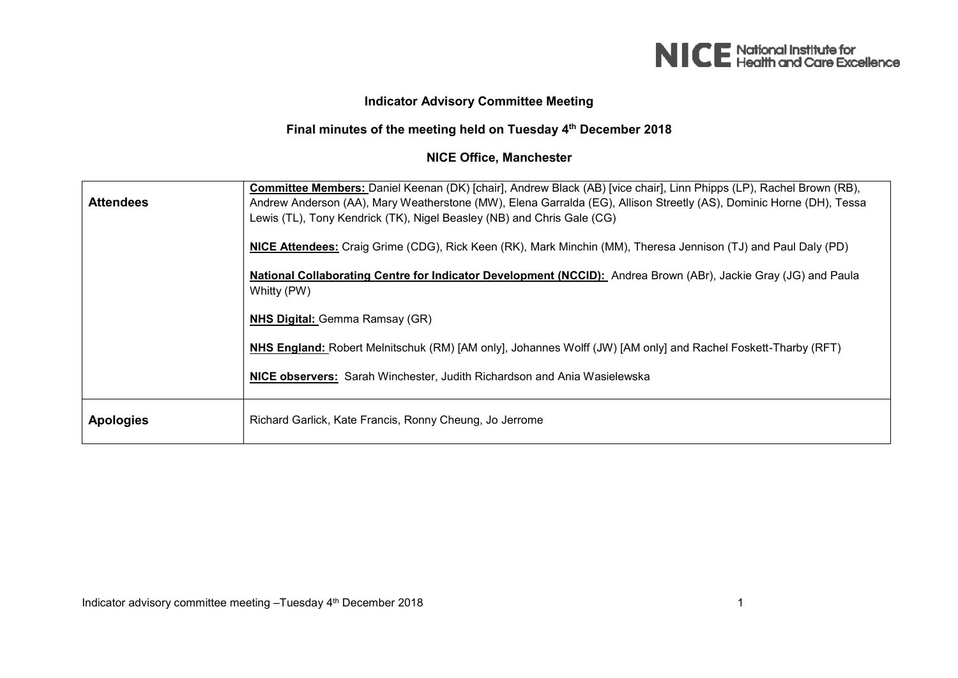

## **Indicator Advisory Committee Meeting**

## **Final minutes of the meeting held on Tuesday 4th December 2018**

## **NICE Office, Manchester**

| <b>Attendees</b> | Committee Members: Daniel Keenan (DK) [chair], Andrew Black (AB) [vice chair], Linn Phipps (LP), Rachel Brown (RB),<br>Andrew Anderson (AA), Mary Weatherstone (MW), Elena Garralda (EG), Allison Streetly (AS), Dominic Horne (DH), Tessa<br>Lewis (TL), Tony Kendrick (TK), Nigel Beasley (NB) and Chris Gale (CG) |
|------------------|----------------------------------------------------------------------------------------------------------------------------------------------------------------------------------------------------------------------------------------------------------------------------------------------------------------------|
|                  | NICE Attendees: Craig Grime (CDG), Rick Keen (RK), Mark Minchin (MM), Theresa Jennison (TJ) and Paul Daly (PD)                                                                                                                                                                                                       |
|                  | National Collaborating Centre for Indicator Development (NCCID): Andrea Brown (ABr), Jackie Gray (JG) and Paula<br>Whitty (PW)                                                                                                                                                                                       |
|                  | <b>NHS Digital:</b> Gemma Ramsay (GR)                                                                                                                                                                                                                                                                                |
|                  | NHS England: Robert Melnitschuk (RM) [AM only], Johannes Wolff (JW) [AM only] and Rachel Foskett-Tharby (RFT)                                                                                                                                                                                                        |
|                  | NICE observers: Sarah Winchester, Judith Richardson and Ania Wasielewska                                                                                                                                                                                                                                             |
| <b>Apologies</b> | Richard Garlick, Kate Francis, Ronny Cheung, Jo Jerrome                                                                                                                                                                                                                                                              |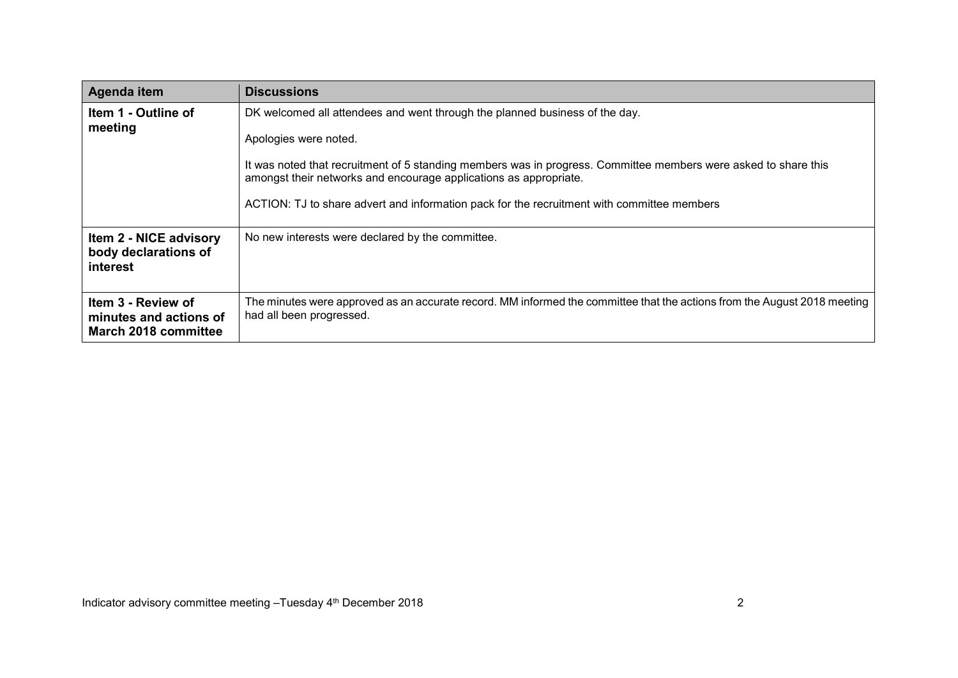| Agenda item                                                              | <b>Discussions</b>                                                                                                                                                                                                                                                                                                                                                                         |
|--------------------------------------------------------------------------|--------------------------------------------------------------------------------------------------------------------------------------------------------------------------------------------------------------------------------------------------------------------------------------------------------------------------------------------------------------------------------------------|
| Item 1 - Outline of<br>meeting                                           | DK welcomed all attendees and went through the planned business of the day.<br>Apologies were noted.<br>It was noted that recruitment of 5 standing members was in progress. Committee members were asked to share this<br>amongst their networks and encourage applications as appropriate.<br>ACTION: TJ to share advert and information pack for the recruitment with committee members |
| <b>Item 2 - NICE advisory</b><br>body declarations of<br><b>interest</b> | No new interests were declared by the committee.                                                                                                                                                                                                                                                                                                                                           |
| Item 3 - Review of<br>minutes and actions of<br>March 2018 committee     | The minutes were approved as an accurate record. MM informed the committee that the actions from the August 2018 meeting<br>had all been progressed.                                                                                                                                                                                                                                       |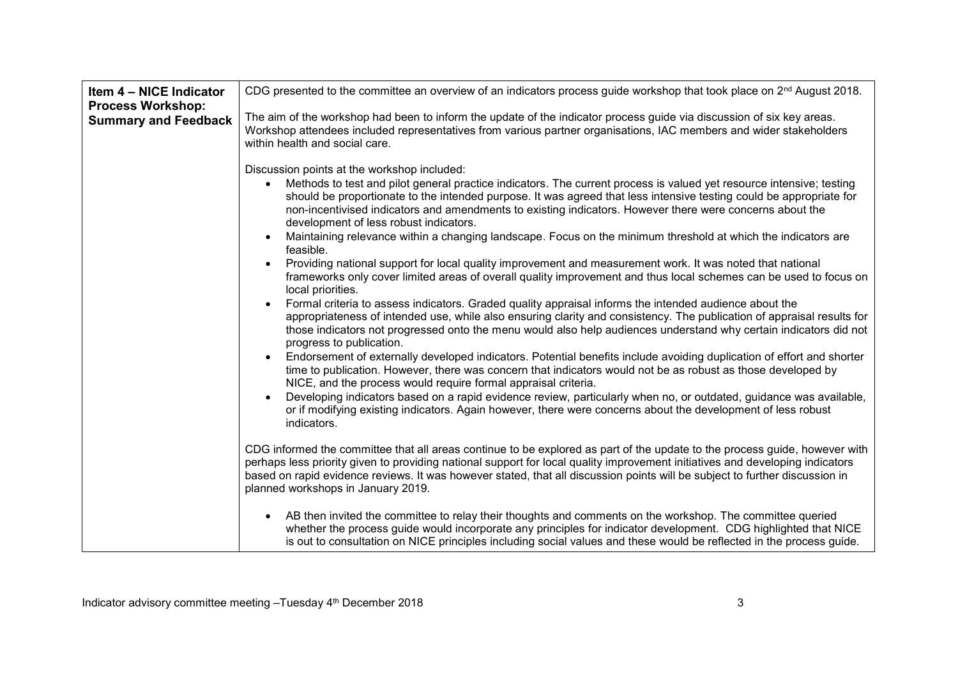| Item 4 - NICE Indicator<br><b>Process Workshop:</b> | CDG presented to the committee an overview of an indicators process guide workshop that took place on 2 <sup>nd</sup> August 2018.                                                                                                                                                                                                                                                                                                                                                                                                                                             |
|-----------------------------------------------------|--------------------------------------------------------------------------------------------------------------------------------------------------------------------------------------------------------------------------------------------------------------------------------------------------------------------------------------------------------------------------------------------------------------------------------------------------------------------------------------------------------------------------------------------------------------------------------|
| <b>Summary and Feedback</b>                         | The aim of the workshop had been to inform the update of the indicator process guide via discussion of six key areas.<br>Workshop attendees included representatives from various partner organisations, IAC members and wider stakeholders<br>within health and social care.                                                                                                                                                                                                                                                                                                  |
|                                                     | Discussion points at the workshop included:<br>Methods to test and pilot general practice indicators. The current process is valued yet resource intensive; testing<br>should be proportionate to the intended purpose. It was agreed that less intensive testing could be appropriate for<br>non-incentivised indicators and amendments to existing indicators. However there were concerns about the<br>development of less robust indicators.<br>Maintaining relevance within a changing landscape. Focus on the minimum threshold at which the indicators are<br>feasible. |
|                                                     | Providing national support for local quality improvement and measurement work. It was noted that national<br>frameworks only cover limited areas of overall quality improvement and thus local schemes can be used to focus on<br>local priorities.<br>Formal criteria to assess indicators. Graded quality appraisal informs the intended audience about the<br>$\bullet$                                                                                                                                                                                                     |
|                                                     | appropriateness of intended use, while also ensuring clarity and consistency. The publication of appraisal results for<br>those indicators not progressed onto the menu would also help audiences understand why certain indicators did not<br>progress to publication.                                                                                                                                                                                                                                                                                                        |
|                                                     | Endorsement of externally developed indicators. Potential benefits include avoiding duplication of effort and shorter<br>time to publication. However, there was concern that indicators would not be as robust as those developed by<br>NICE, and the process would require formal appraisal criteria.                                                                                                                                                                                                                                                                        |
|                                                     | Developing indicators based on a rapid evidence review, particularly when no, or outdated, guidance was available,<br>or if modifying existing indicators. Again however, there were concerns about the development of less robust<br>indicators.                                                                                                                                                                                                                                                                                                                              |
|                                                     | CDG informed the committee that all areas continue to be explored as part of the update to the process guide, however with<br>perhaps less priority given to providing national support for local quality improvement initiatives and developing indicators<br>based on rapid evidence reviews. It was however stated, that all discussion points will be subject to further discussion in<br>planned workshops in January 2019.                                                                                                                                               |
|                                                     | AB then invited the committee to relay their thoughts and comments on the workshop. The committee queried<br>whether the process guide would incorporate any principles for indicator development. CDG highlighted that NICE<br>is out to consultation on NICE principles including social values and these would be reflected in the process guide.                                                                                                                                                                                                                           |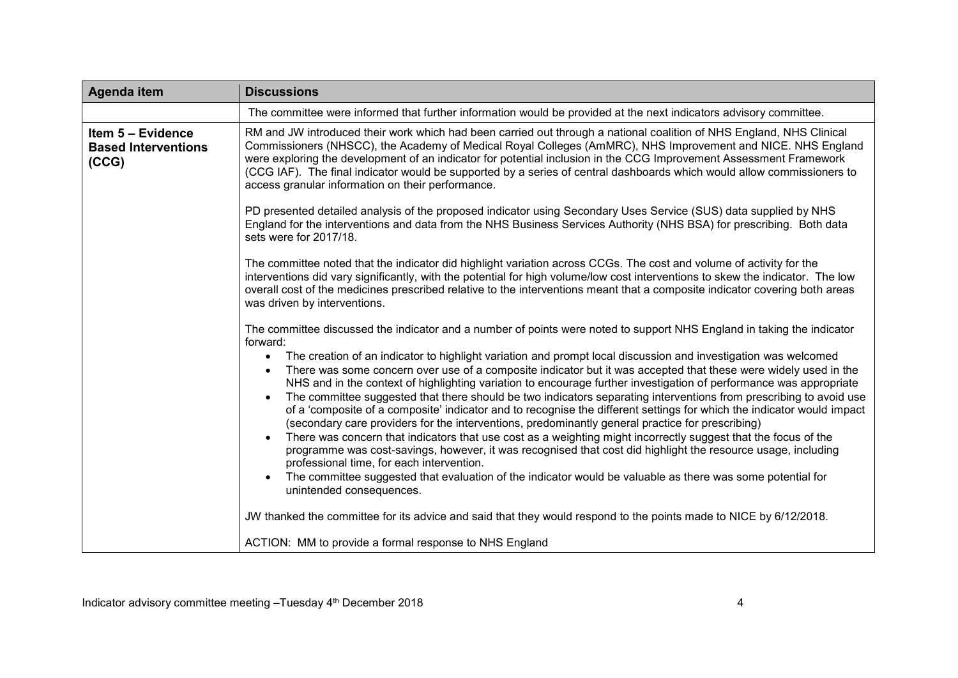| Agenda item                                              | <b>Discussions</b>                                                                                                                                                                                                                                                                                                                                                                                                                                                                                                                                                                                                                                                                                                                                                                                                                                                                                                                                                                                                                                                                                                                                                                                                                                                                                                                                                                                                                     |
|----------------------------------------------------------|----------------------------------------------------------------------------------------------------------------------------------------------------------------------------------------------------------------------------------------------------------------------------------------------------------------------------------------------------------------------------------------------------------------------------------------------------------------------------------------------------------------------------------------------------------------------------------------------------------------------------------------------------------------------------------------------------------------------------------------------------------------------------------------------------------------------------------------------------------------------------------------------------------------------------------------------------------------------------------------------------------------------------------------------------------------------------------------------------------------------------------------------------------------------------------------------------------------------------------------------------------------------------------------------------------------------------------------------------------------------------------------------------------------------------------------|
|                                                          | The committee were informed that further information would be provided at the next indicators advisory committee.                                                                                                                                                                                                                                                                                                                                                                                                                                                                                                                                                                                                                                                                                                                                                                                                                                                                                                                                                                                                                                                                                                                                                                                                                                                                                                                      |
| Item 5 - Evidence<br><b>Based Interventions</b><br>(CCG) | RM and JW introduced their work which had been carried out through a national coalition of NHS England, NHS Clinical<br>Commissioners (NHSCC), the Academy of Medical Royal Colleges (AmMRC), NHS Improvement and NICE. NHS England<br>were exploring the development of an indicator for potential inclusion in the CCG Improvement Assessment Framework<br>(CCG IAF). The final indicator would be supported by a series of central dashboards which would allow commissioners to<br>access granular information on their performance.                                                                                                                                                                                                                                                                                                                                                                                                                                                                                                                                                                                                                                                                                                                                                                                                                                                                                               |
|                                                          | PD presented detailed analysis of the proposed indicator using Secondary Uses Service (SUS) data supplied by NHS<br>England for the interventions and data from the NHS Business Services Authority (NHS BSA) for prescribing. Both data<br>sets were for 2017/18.                                                                                                                                                                                                                                                                                                                                                                                                                                                                                                                                                                                                                                                                                                                                                                                                                                                                                                                                                                                                                                                                                                                                                                     |
|                                                          | The committee noted that the indicator did highlight variation across CCGs. The cost and volume of activity for the<br>interventions did vary significantly, with the potential for high volume/low cost interventions to skew the indicator. The low<br>overall cost of the medicines prescribed relative to the interventions meant that a composite indicator covering both areas<br>was driven by interventions.                                                                                                                                                                                                                                                                                                                                                                                                                                                                                                                                                                                                                                                                                                                                                                                                                                                                                                                                                                                                                   |
|                                                          | The committee discussed the indicator and a number of points were noted to support NHS England in taking the indicator<br>forward:<br>The creation of an indicator to highlight variation and prompt local discussion and investigation was welcomed<br>$\bullet$<br>There was some concern over use of a composite indicator but it was accepted that these were widely used in the<br>$\bullet$<br>NHS and in the context of highlighting variation to encourage further investigation of performance was appropriate<br>The committee suggested that there should be two indicators separating interventions from prescribing to avoid use<br>of a 'composite of a composite' indicator and to recognise the different settings for which the indicator would impact<br>(secondary care providers for the interventions, predominantly general practice for prescribing)<br>There was concern that indicators that use cost as a weighting might incorrectly suggest that the focus of the<br>$\bullet$<br>programme was cost-savings, however, it was recognised that cost did highlight the resource usage, including<br>professional time, for each intervention.<br>The committee suggested that evaluation of the indicator would be valuable as there was some potential for<br>unintended consequences.<br>JW thanked the committee for its advice and said that they would respond to the points made to NICE by 6/12/2018. |
|                                                          | ACTION: MM to provide a formal response to NHS England                                                                                                                                                                                                                                                                                                                                                                                                                                                                                                                                                                                                                                                                                                                                                                                                                                                                                                                                                                                                                                                                                                                                                                                                                                                                                                                                                                                 |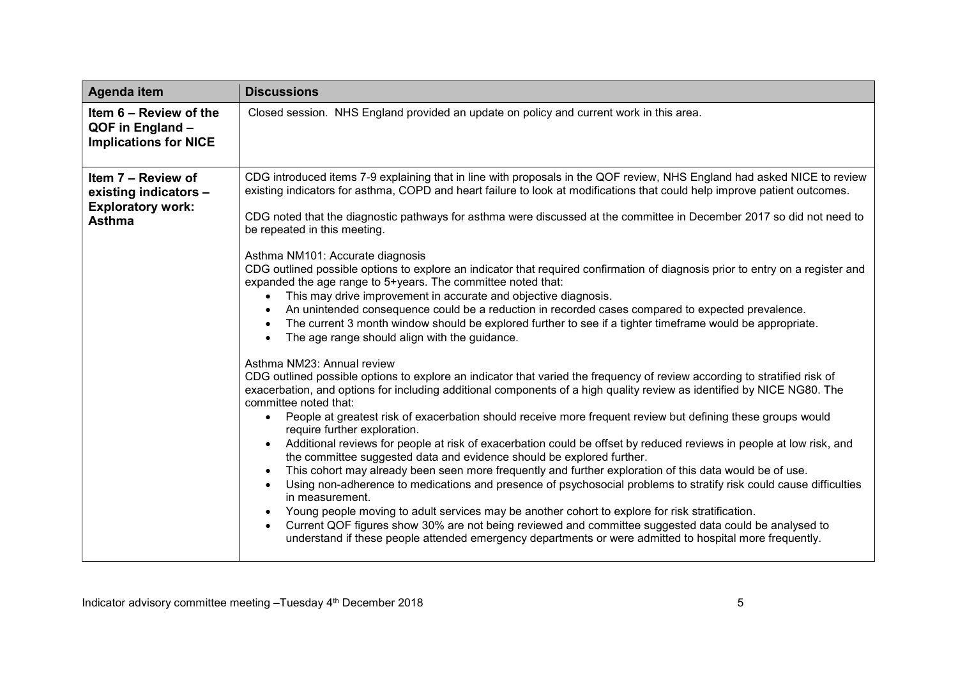| Agenda item                                                                              | <b>Discussions</b>                                                                                                                                                                                                                                                                                                                                                                                                                                                                                                                                                                                                                                                                                                                                                                                                                                                                                                                                                                                                                                                                                                                                                                                                                                                                                                                                                                                                                                                                                                                                                                                                                                                                                                                                                                                                                                                                                                                                                                                                                                                                                                                                                                                                                                                                                                                                                  |
|------------------------------------------------------------------------------------------|---------------------------------------------------------------------------------------------------------------------------------------------------------------------------------------------------------------------------------------------------------------------------------------------------------------------------------------------------------------------------------------------------------------------------------------------------------------------------------------------------------------------------------------------------------------------------------------------------------------------------------------------------------------------------------------------------------------------------------------------------------------------------------------------------------------------------------------------------------------------------------------------------------------------------------------------------------------------------------------------------------------------------------------------------------------------------------------------------------------------------------------------------------------------------------------------------------------------------------------------------------------------------------------------------------------------------------------------------------------------------------------------------------------------------------------------------------------------------------------------------------------------------------------------------------------------------------------------------------------------------------------------------------------------------------------------------------------------------------------------------------------------------------------------------------------------------------------------------------------------------------------------------------------------------------------------------------------------------------------------------------------------------------------------------------------------------------------------------------------------------------------------------------------------------------------------------------------------------------------------------------------------------------------------------------------------------------------------------------------------|
| Item 6 - Review of the<br>QOF in England -<br><b>Implications for NICE</b>               | Closed session. NHS England provided an update on policy and current work in this area.                                                                                                                                                                                                                                                                                                                                                                                                                                                                                                                                                                                                                                                                                                                                                                                                                                                                                                                                                                                                                                                                                                                                                                                                                                                                                                                                                                                                                                                                                                                                                                                                                                                                                                                                                                                                                                                                                                                                                                                                                                                                                                                                                                                                                                                                             |
| Item 7 – Review of<br>existing indicators -<br><b>Exploratory work:</b><br><b>Asthma</b> | CDG introduced items 7-9 explaining that in line with proposals in the QOF review, NHS England had asked NICE to review<br>existing indicators for asthma, COPD and heart failure to look at modifications that could help improve patient outcomes.<br>CDG noted that the diagnostic pathways for asthma were discussed at the committee in December 2017 so did not need to<br>be repeated in this meeting.<br>Asthma NM101: Accurate diagnosis<br>CDG outlined possible options to explore an indicator that required confirmation of diagnosis prior to entry on a register and<br>expanded the age range to 5+years. The committee noted that:<br>This may drive improvement in accurate and objective diagnosis.<br>$\bullet$<br>An unintended consequence could be a reduction in recorded cases compared to expected prevalence.<br>$\bullet$<br>The current 3 month window should be explored further to see if a tighter timeframe would be appropriate.<br>$\bullet$<br>The age range should align with the guidance.<br>$\bullet$<br>Asthma NM23: Annual review<br>CDG outlined possible options to explore an indicator that varied the frequency of review according to stratified risk of<br>exacerbation, and options for including additional components of a high quality review as identified by NICE NG80. The<br>committee noted that:<br>People at greatest risk of exacerbation should receive more frequent review but defining these groups would<br>$\bullet$<br>require further exploration.<br>Additional reviews for people at risk of exacerbation could be offset by reduced reviews in people at low risk, and<br>$\bullet$<br>the committee suggested data and evidence should be explored further.<br>This cohort may already been seen more frequently and further exploration of this data would be of use.<br>$\bullet$<br>Using non-adherence to medications and presence of psychosocial problems to stratify risk could cause difficulties<br>$\bullet$<br>in measurement.<br>Young people moving to adult services may be another cohort to explore for risk stratification.<br>$\bullet$<br>Current QOF figures show 30% are not being reviewed and committee suggested data could be analysed to<br>$\bullet$<br>understand if these people attended emergency departments or were admitted to hospital more frequently. |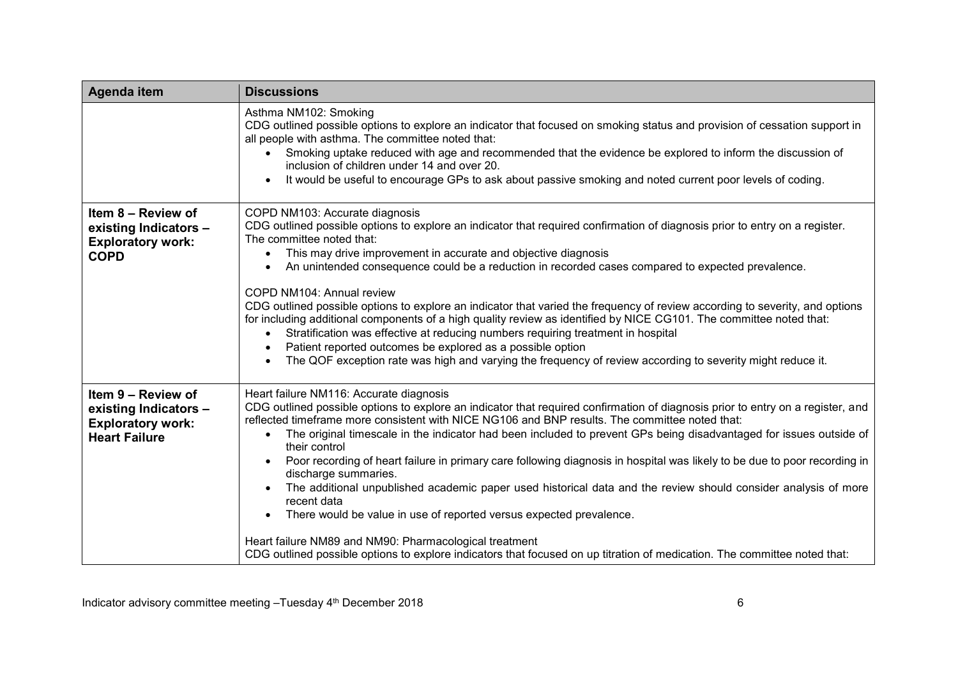| <b>Agenda item</b>                                                                              | <b>Discussions</b>                                                                                                                                                                                                                                                                                                                                                                                                                                                                                                                                                                                                                                                                                                                                                                                                                                                                                                                                                                                |
|-------------------------------------------------------------------------------------------------|---------------------------------------------------------------------------------------------------------------------------------------------------------------------------------------------------------------------------------------------------------------------------------------------------------------------------------------------------------------------------------------------------------------------------------------------------------------------------------------------------------------------------------------------------------------------------------------------------------------------------------------------------------------------------------------------------------------------------------------------------------------------------------------------------------------------------------------------------------------------------------------------------------------------------------------------------------------------------------------------------|
|                                                                                                 | Asthma NM102: Smoking<br>CDG outlined possible options to explore an indicator that focused on smoking status and provision of cessation support in<br>all people with asthma. The committee noted that:<br>Smoking uptake reduced with age and recommended that the evidence be explored to inform the discussion of<br>inclusion of children under 14 and over 20.<br>It would be useful to encourage GPs to ask about passive smoking and noted current poor levels of coding.<br>$\bullet$                                                                                                                                                                                                                                                                                                                                                                                                                                                                                                    |
| Item 8 - Review of<br>existing Indicators -<br><b>Exploratory work:</b><br><b>COPD</b>          | COPD NM103: Accurate diagnosis<br>CDG outlined possible options to explore an indicator that required confirmation of diagnosis prior to entry on a register.<br>The committee noted that:<br>This may drive improvement in accurate and objective diagnosis<br>$\bullet$<br>An unintended consequence could be a reduction in recorded cases compared to expected prevalence.<br>$\bullet$<br>COPD NM104: Annual review<br>CDG outlined possible options to explore an indicator that varied the frequency of review according to severity, and options<br>for including additional components of a high quality review as identified by NICE CG101. The committee noted that:<br>Stratification was effective at reducing numbers requiring treatment in hospital<br>$\bullet$<br>Patient reported outcomes be explored as a possible option<br>$\bullet$<br>The QOF exception rate was high and varying the frequency of review according to severity might reduce it.<br>$\bullet$            |
| Item 9 - Review of<br>existing Indicators -<br><b>Exploratory work:</b><br><b>Heart Failure</b> | Heart failure NM116: Accurate diagnosis<br>CDG outlined possible options to explore an indicator that required confirmation of diagnosis prior to entry on a register, and<br>reflected timeframe more consistent with NICE NG106 and BNP results. The committee noted that:<br>The original timescale in the indicator had been included to prevent GPs being disadvantaged for issues outside of<br>$\bullet$<br>their control<br>Poor recording of heart failure in primary care following diagnosis in hospital was likely to be due to poor recording in<br>discharge summaries.<br>The additional unpublished academic paper used historical data and the review should consider analysis of more<br>recent data<br>There would be value in use of reported versus expected prevalence.<br>$\bullet$<br>Heart failure NM89 and NM90: Pharmacological treatment<br>CDG outlined possible options to explore indicators that focused on up titration of medication. The committee noted that: |